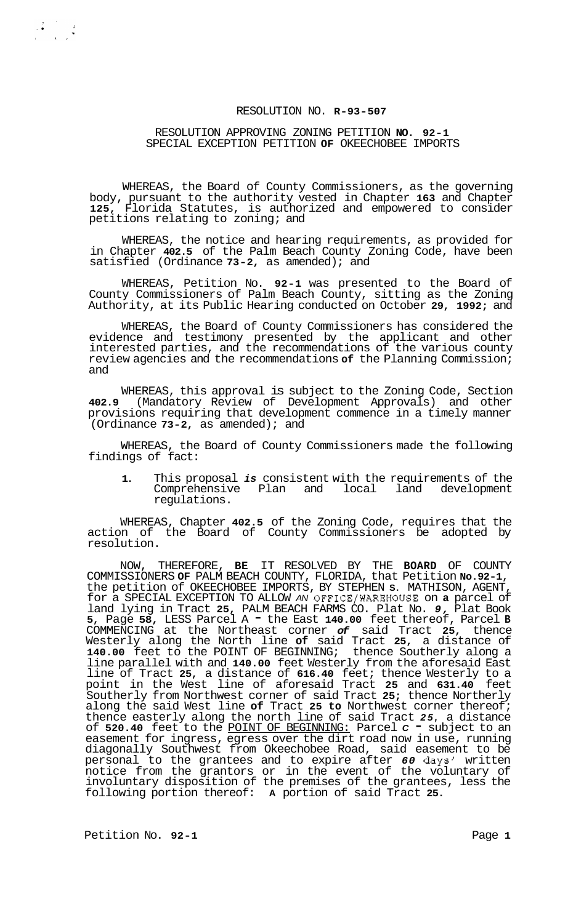### RESOLUTION NO. **R-93-507**

#### RESOLUTION APPROVING ZONING PETITION **NO. 92-1**  SPECIAL EXCEPTION PETITION **OF** OKEECHOBEE IMPORTS

WHEREAS, the Board of County Commissioners, as the governing body, pursuant to the authority vested in Chapter **163** and Chapter **125,** Florida Statutes, is authorized and empowered to consider petitions relating to zoning; and

WHEREAS, the notice and hearing requirements, as provided for in Chapter **402.5** of the Palm Beach County Zoning Code, have been satisfied (Ordinance **73-2,** as amended); and

WHEREAS, Petition No. **92-1** was presented to the Board of County Commissioners of Palm Beach County, sitting as the Zoning Authority, at its Public Hearing conducted on October **29, 1992;** and

WHEREAS, the Board of County Commissioners has considered the evidence and testimony presented by the applicant and other interested parties, and the recommendations of the various county review agencies and the recommendations **of** the Planning Commission; and

WHEREAS, this approval is subject to the Zoning Code, Section **402.9** (Mandatory Review of Development Approvals) and other provisions requiring that development commence in a timely manner (Ordinance **73-2,** as amended); and

WHEREAS, the Board of County Commissioners made the following findings of fact:

**1.** This proposal *is* consistent with the requirements of the Comprehensive Plan and local land development regulations.

WHEREAS, Chapter **402.5** of the Zoning Code, requires that the action of the Board of County Commissioners be adopted by resolution.

NOW, THEREFORE, **BE** IT RESOLVED BY THE **BOARD** OF COUNTY COMMISSIONERS **OF** PALM BEACH COUNTY, FLORIDA, that Petition **No.92-1,**  the petition of OKEECHOBEE IMPORTS, BY STEPHEN **S.** MATHISON, AGENT, for a SPECIAL EXCEPTION TO ALLOW *AN* OFFICE/WAREHOUSE on **a** parcel of land lying in Tract **25,** PALM BEACH FARMS CO. Plat No. *9,* Plat Book **5,** Page **58,** LESS Parcel A - the East **140.00** feet thereof, Parcel **<sup>B</sup>** COMMENCING at the Northeast corner *of* said Tract **25,** thence Westerly along the North line **of** said Tract **25,** a distance of **140.00** feet to the POINT OF BEGINNING; thence Southerly along a line parallel with and **140.00** feet Westerly from the aforesaid East line of Tract **25,** a distance of **616.40** feet; thence Westerly to a point in the West line of aforesaid Tract **25** and **631.40** feet Southerly from Northwest corner of said Tract **25;** thence Northerly along the said West line **of** Tract **25 to** Northwest corner thereof; thence easterly along the north line of said Tract *25,* a distance of **520.40** feet to the POINT OF BEGINNING: Parcel *C* - subject to an easement for ingress, egress over the dirt road now in use, running diagonally Southwest from Okeechobee Road, said easement to be personal to the grantees and to expire after *60* days' written notice from the grantors or in the event of the voluntary of involuntary disposition of the premises of the grantees, less the following portion thereof: **A** portion of said Tract **25.** 

Petition No. 92-1 **Page 1 Page 1**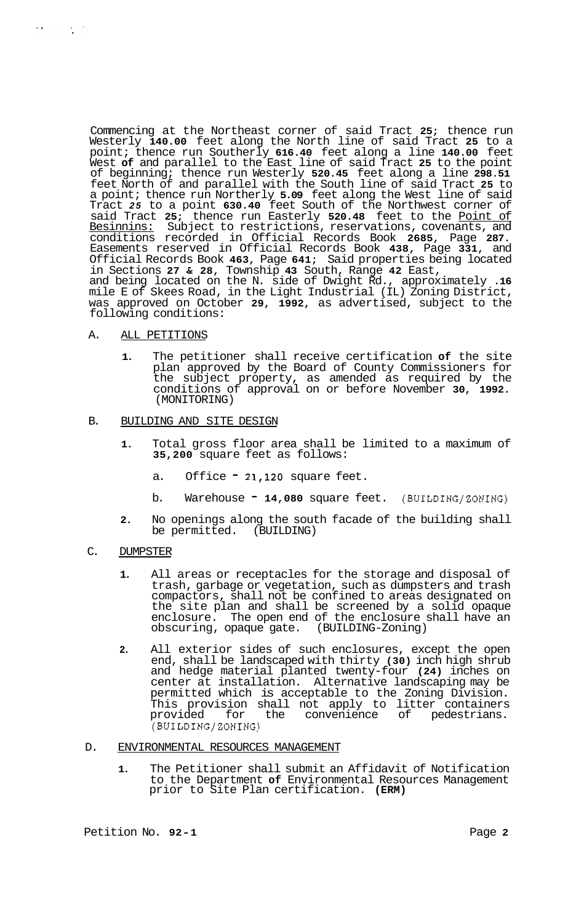Commencing at the Northeast corner of said Tract **25;** thence run Westerly **140.00** feet along the North line of said Tract **25** to a point; thence run Southerly **616.40** feet along a line **140.00** feet West **of** and parallel to the East line of said Tract **25** to the point of beginning; thence run Westerly **520.45** feet along a line **298.51**  feet North of and parallel with the South line of said Tract **25** to a point; thence run Northerly **5.09** feet along the West line of said Tract *25* to a point **630.40** feet South of the Northwest corner of said Tract **25;** thence run Easterly **520.48** feet to the Point of Besinnins: Subject to restrictions, reservations, covenants, and conditions recorded in Official Records Book **2685,** Page **287.**  Easements reserved in Official Records Book **438,** Page **331,** and Official Records Book **463,** Page **641;** Said properties being located in Sections **27** & **28,** Township **43** South, Range **42** East, and being located on the N. side of Dwight Rd., approximately **.16**  mile E of Skees Road, in the Light Industrial (IL) Zoning District, was approved on October **29, 1992,** as advertised, subject to the following conditions:

A. ALL PETITIONS

 $\mathcal{F}(\mathbf{r})$  and  $\mathcal{F}(\mathbf{r})$  .

**1.** The petitioner shall receive certification **of** the site plan approved by the Board of County Commissioners for the subject property, as amended as required by the conditions of approval on or before November **30, 1992.**  (MONITORING)

#### B. BUILDING AND SITE DESIGN

- **1.** Total gross floor area shall be limited to a maximum of **35,200** square feet as follows:
	- a. Office **21,120** square feet.
	- b. Warehouse **14,080** square feet. (BUILDING/ZONING)
- **2.** No openings along the south facade of the building shall be permitted. (BUILDING)
- C. DUMPSTER
	- **1.** All areas or receptacles for the storage and disposal of trash, garbage or vegetation, such as dumpsters and trash compactors, shall not be confined to areas designated on the site plan and shall be screened by a solid opaque enclosure. The open end of the enclosure shall have an obscuring, opaque gate. (BUILDING-Zoning)
	- **2.** All exterior sides of such enclosures, except the open end, shall be landscaped with thirty **(30)** inch high shrub and hedge material planted twenty-four **(24)** inches on center at installation. Alternative landscaping may be permitted which is acceptable to the Zoning Division. This provision shall not apply to litter containers provided for the convenience of pedestrians. (BUILDING/ZONING)
- D. ENVIRONMENTAL RESOURCES MANAGEMENT
	- **1.** The Petitioner shall submit an Affidavit of Notification to the Department **of** Environmental Resources Management prior to Site Plan certification. **(ERM)**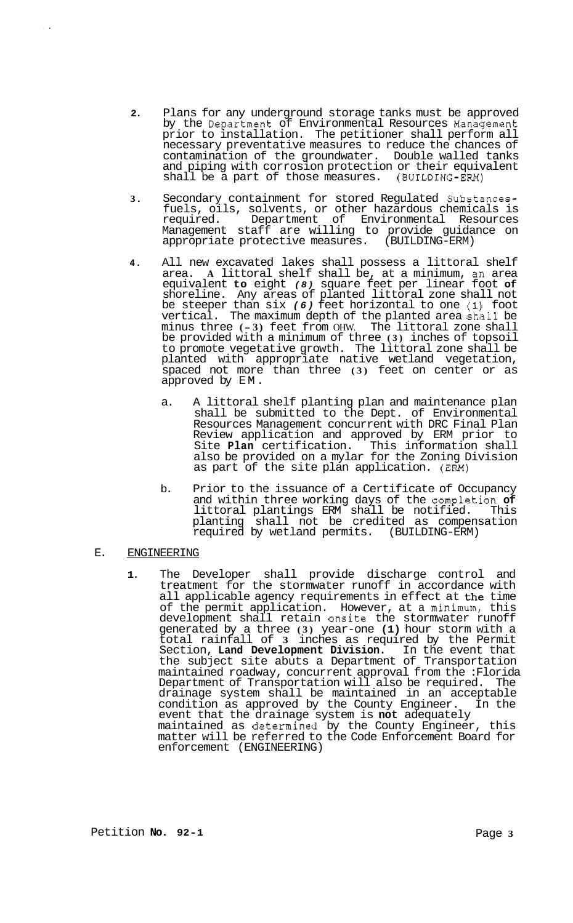- **2.** Plans for any underground storage tanks must be approved by the Department of Environmental Resources Management prior to installation. The petitioner shall perform all necessary preventative measures to reduce the chances of contamination of the groundwater. Double walled tanks and piping with corrosion protection or their equivalent shall be a part of those measures. (BUILDING-EM)
- **3.** Secondary containment for stored Regulated Substancesfuels, oils, solvents, or other hazardous chemicals is required. Department of Environmental Resources Poddential staff are willing to provide guidance on<br>appropriate protective measures. (BUILDING-ERM) appropriate protective measures.
- **4.** All new excavated lakes shall possess a littoral shelf area. **A** littoral shelf shall be, at a minimum, an area equivalent **to** eight *(8)* square feet per linear foot **of**  shoreline. Any areas of planted littoral zone shall not be steeper than six *(6)* feet horizontal to one **(111** foot vertical. The maximum depth of the planted area shall be minus three **(- 3)** feet from OHW. The littoral zone shall be provided with a minimum of three **(3)** inches of topsoil to promote vegetative growth. The littoral zone shall be planted with appropriate native wetland vegetation, spaced not more than three (3) feet on center or as approved by EM.
	- a. A littoral shelf planting plan and maintenance plan shall be submitted to the Dept. of Environmental Resources Management concurrent with DRC Final Plan Review application and approved by ERM prior to Site **Plan** certification. This information shall also be provided on a mylar for the Zoning Division as part of the site plan application. **(EM)**
	- b. Prior to the issuance of a Certificate of Occupancy and within three working days of the complet.ion **of**  littoral plantings ERM shall be notified. This planting shall not be credited as compensation required by wetland permits. (BUILDING-ERM)

# E. ENGINEERING

**1.** The Developer shall provide discharge control and treatment for the stormwater runoff in accordance with all applicable agency requirements in effect at the time of the permit application. However, at a minimum, this development shall retain onsite the stormwater runoff generated by a three **(3)** year-one **(1)** hour storm with a total rainfall of **3** inches as required by the Permit Section, **Land Development Division.** In the event that the subject site abuts a Department of Transportation maintained roadway, concurrent approval from the :Florida<br>Department of Transportation will also be required. The Department of Transportation will also be required. drainage system shall be maintained in an acceptable condition as approved by the County Engineer. In the condition as approved by the County Engineer. event that the drainage system is **not** adequately maintained as determined by the County Engineer, this matter will be referred to the Code Enforcement Board for enforcement (ENGINEERING)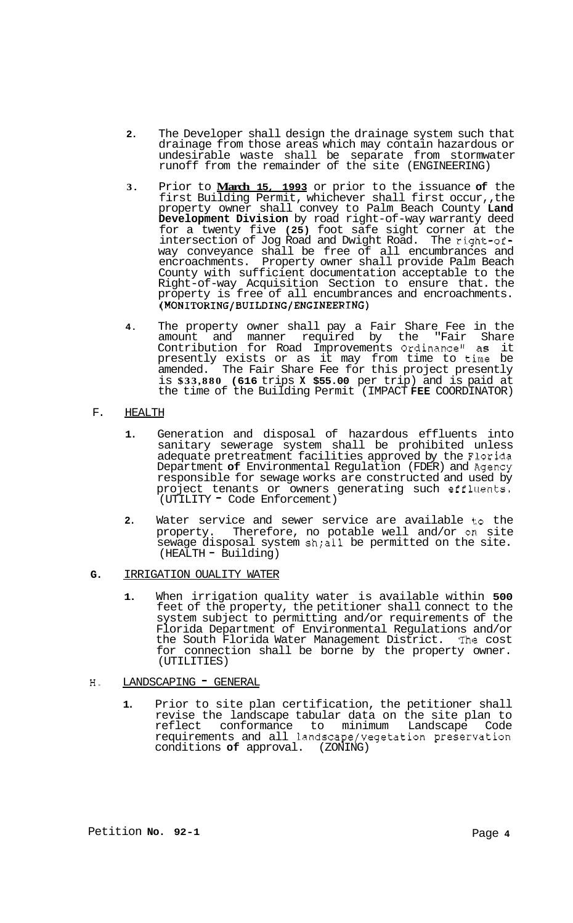- **2.** The Developer shall design the drainage system such that drainage from those areas which may contain hazardous or undesirable waste shall be separate from stormwater runoff from the remainder of the site (ENGINEERING)
- **3.** Prior to **March 15, 1993** or prior to the issuance **of** the first Building Permit, whichever shall first occur,, the property owner shall convey to Palm Beach County **Land Development Division** by road right-of-way warranty deed for a twenty five **(25)** foot safe sight corner at the intersection of Jog Road and Dwight Road. The right-ofway conveyance shall be free of all encumbrances and encroachments. Property owner shall provide Palm Beach County with sufficient documentation acceptable to the Right-of-way Acquisition Section to ensure that. the property is free of all encumbrances and encroachments. **(MONITORING/BUILDING/ENGINEERING)**
- **4.** The property owner shall pay a Fair Share Fee in the amount and manner required by the "Fair Share Contribution for Road Improvements Ordinance" **as** it presently exists or as it may from time to time be amended. The Fair Share Fee for this project presently is **\$33,880 (616** trips **X \$55.00** per trip) and is paid at the time of the Building Permit (IMPACT **FEE** COORDINATOR)
- F. HEALTH
	- **1.** Generation and disposal of hazardous effluents into sanitary sewerage system shall be prohibited unless adequate pretreatment facilities approved by the Florida Department **of** Environmental Regulation (FDER) and Agency responsible for sewage works are constructed and used by project tenants or owners generating such effluents. (UTILITY - Code Enforcement)
	- 2. Water service and sewer service are available to the property. Therefore, no potable well and/or on site sewage disposal system sh;all be permitted on the site. (HEALTH - Building)
- **G.** IRRIGATION OUALITY WATER
	- **1.** When irrigation quality water is available within **500**  feet of the property, the petitioner shall connect to the system subject to permitting and/or requirements of the Florida Department of Environmental Regulations and/or the South Florida Water Management District. The cost for connection shall be borne by the property owner. (UTILITIES)

# H. LANDSCAPING - GENERAL

**1.** Prior to site plan certification, the petitioner shall revise the landscape tabular data on the site plan to reflect conformance to minimum Landscape Code requirements and all landscape/vegetation preservation conditions **of** approval. (ZONING)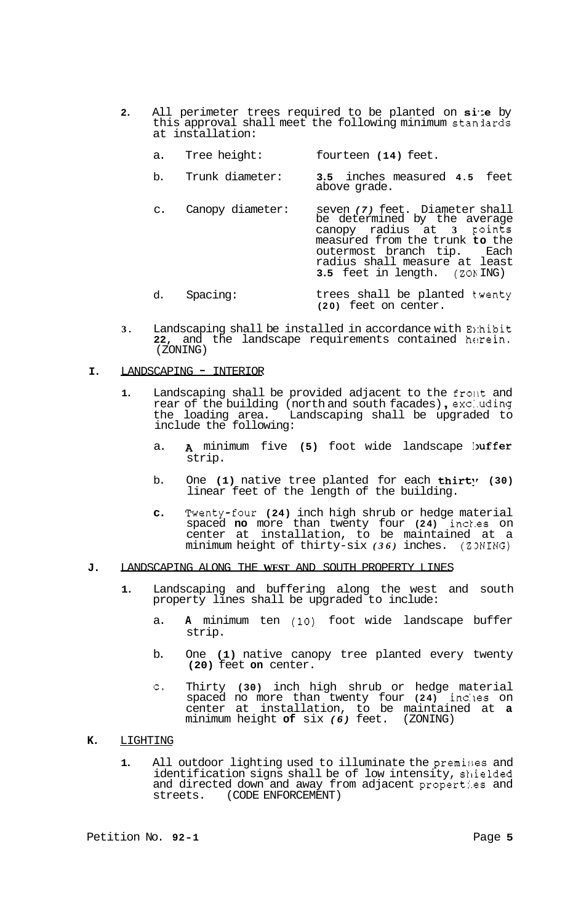- **2.** All perimeter trees required to be planted on size by this approval shall meet the following minimum stanlards at installation:
	- a. Tree height: fourteen **(14)** feet.
	- b. Trunk diameter: **3.5** inches measured **4.5** feet above grade.
	- c. Canopy diameter: seven *(7)* feet. Diameter shall be determined by the average canopy radius at **3** Foints measured from the trunk **to** the<br>outermost branch tip. Each outermost branch tip. radius shall measure at least **3.5** feet in length. **(ZOb** ING)
	- d. Spacing: trees shall be planted twenty **(20)** feet on center.
- **3.** Landscaping shall be installed in accordance with E<sub>1</sub>:hibit **22,** and the landscape requirements contained helrein. (ZONING)
- **I.** LANDSCAPING INTERIOR
	- 1. Landscaping shall be provided adjacent to the front and rear of the building (north and south facades), excluding Landscaping shall be upgraded to the loading area. L<br>include the following:
		- a. A minimum five (5) foot wide landscape buffer strip.
		- b. One **(1)** native tree planted for each **thirt**' **(30)** linear feet of the length of the building.
		- **c.** Twenty-four **(24)** inch high shrub or hedge material spaced **no** more than twenty four **(24)** inck.es on center at installation, to be maintained at a minimum height of thirty-six *(36)* inches. (Z3NING)
- **J.** LANDSCAPING ALONG THE **WEST** AND SOUTH PROPERTY LINES
	- **1.** Landscaping and buffering along the west and south property lines shall be upgraded to include:
		- a. **A** minimum ten **(10)** foot wide landscape buffer strip.
		- b. One **(1)** native canopy tree planted every twenty **(20)** feet **on** center.
		- c. Thirty **(30)** inch high shrub or hedge material spaced no more than twenty four **(24)** inc:les on center at installation, to be maintained at **a**  minimum height **of** six *(6)* feet. (ZONING)
- **K.** LIGHTING
	- **1.** All outdoor lighting used to illuminate the premises and identification signs shall be of low intensity, shielded and directed down and away from adjacent properties and streets. (CODE ENFORCEMENT) (CODE ENFORCEMENT)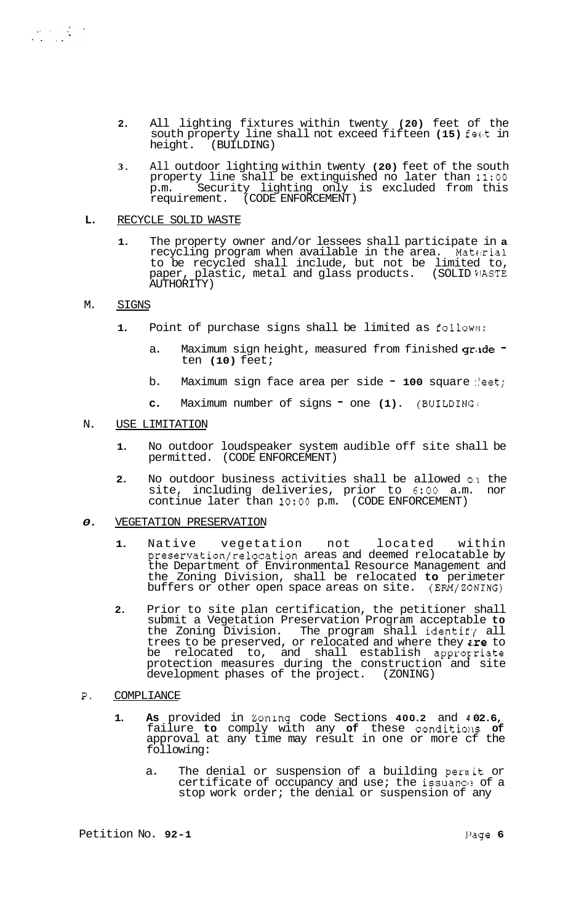- **2.** All lighting fixtures within twenty **(20)** feet of the south property line shall not exceed fifteen **(15)** fecit in height. (BUILDING)
- **3.** All outdoor lighting within twenty **(20)** feet of the south property line shall be extinguished no later than **11:OO**  p.m. Security lighting only is excluded from this requirement. (CODE ENFORCEMENT)
- L. RECYCLE SOLID WASTE
	- **1.** The property owner and/or lessees shall participate in **a**  recycling program when available in the area. Material to be recycled shall include, but not be limited to, paper, plastic, metal and glass products. (SOLID WASTE AUTHORITY)

## M. SIGNS

- **1.** Point of purchase signs shall be limited as follow:;:
	- a. Maximum sign height, measured from finished grade ten **(10)** feet;
	- b. Maximum sign face area per side 100 square :eet;
	- **c.** Maximum number of signs one **(1).** (BUILDING1

## N. USE LIMITATION

- **1.** No outdoor loudspeaker system audible off site shall be permitted. (CODE ENFORCEMENT)
- **2.** No outdoor business activities shall be allowed **O:I** the site, including deliveries, prior to **6:OO** a.m. nor continue later than **1O:OO** p.m. (CODE ENFORCEMENT)

## *0.* VEGETATION PRESERVATION

- **1.** Native vegetation not located within preservation/relocation areas and deemed relocatable by the Department of Environmental Resource Management and the Zoning Division, shall be relocated **to** perimeter buffers or other open space areas on site. (ERM/ZONING)
- **2.** Prior to site plan certification, the petitioner shall submit a Vegetation Preservation Program acceptable **to**  the Zoning Division. The program shall identify all trees to be preserved, or relocated and where they  $i.e$  to be relocated to, and shall establish appropriate protection measures during the construction and site development phases of the project. (ZONING)
- **P.** COMPLIANCE
	- **1. As** provided in Bonlng code Sections **400.2** and *4* **02.6,**  failure **to** comply with any of these conditions of approval at any time may result in one or more cf the following:
		- a. The denial or suspension of a building pernit or certificate of occupancy and use; the issuance of a stop work order; the denial or suspension of any